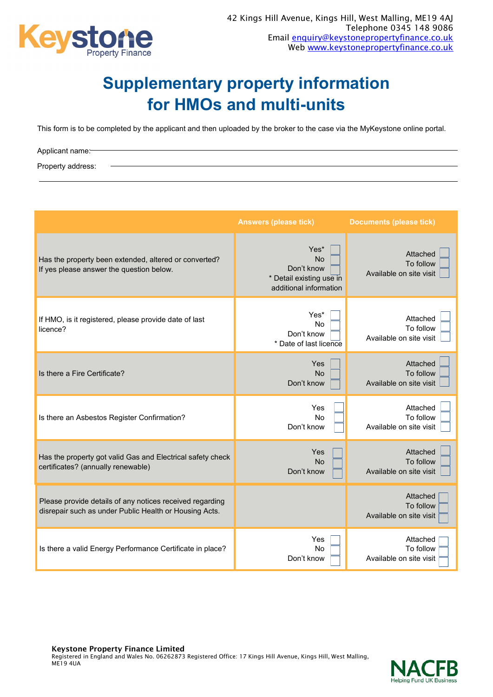

## **Supplementary property information for HMOs and multi-units**

This form is to be completed by the applicant and then uploaded by the broker to the case via the MyKeystone online portal.

Applicant name: Property address:

|                                                                                                                    | <b>Answers (please tick)</b>                                                          | <b>Documents (please tick)</b>                   |
|--------------------------------------------------------------------------------------------------------------------|---------------------------------------------------------------------------------------|--------------------------------------------------|
| Has the property been extended, altered or converted?<br>If yes please answer the question below.                  | Yes*<br><b>No</b><br>Don't know<br>* Detail existing use in<br>additional information | Attached<br>To follow<br>Available on site visit |
| If HMO, is it registered, please provide date of last<br>licence?                                                  | Yes*<br>No<br>Don't know<br>* Date of last licence                                    | Attached<br>To follow<br>Available on site visit |
| Is there a Fire Certificate?                                                                                       | Yes<br><b>No</b><br>Don't know                                                        | Attached<br>To follow<br>Available on site visit |
| Is there an Asbestos Register Confirmation?                                                                        | Yes<br><b>No</b><br>Don't know                                                        | Attached<br>To follow<br>Available on site visit |
| Has the property got valid Gas and Electrical safety check<br>certificates? (annually renewable)                   | Yes<br><b>No</b><br>Don't know                                                        | Attached<br>To follow<br>Available on site visit |
| Please provide details of any notices received regarding<br>disrepair such as under Public Health or Housing Acts. |                                                                                       | Attached<br>To follow<br>Available on site visit |
| Is there a valid Energy Performance Certificate in place?                                                          | Yes<br>No<br>Don't know                                                               | Attached<br>To follow<br>Available on site visit |

Keystone Property Finance Limited Registered in England and Wales No. 06262873 Registered Office: 17 Kings Hill Avenue, Kings Hill, West Malling, ME19 4UA